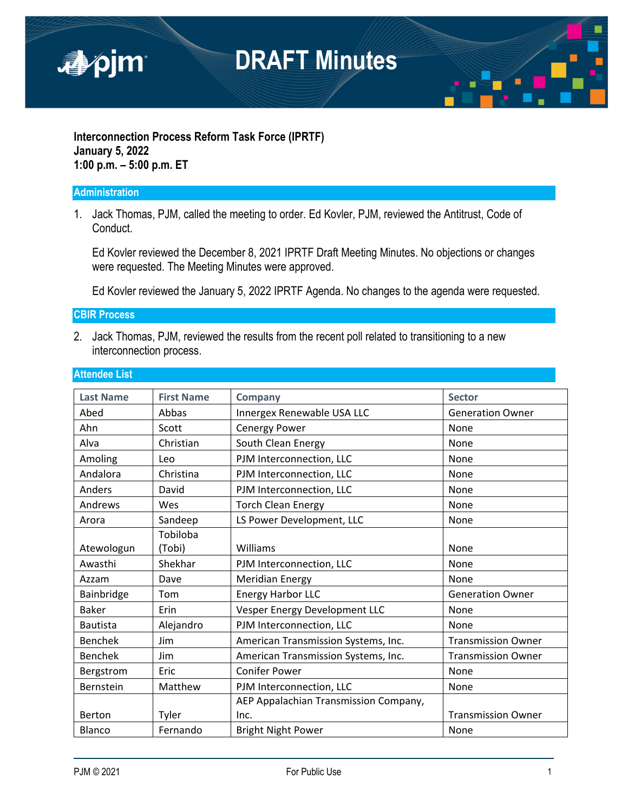

### **Interconnection Process Reform Task Force (IPRTF) January 5, 2022 1:00 p.m. – 5:00 p.m. ET**

#### **Administration**

1. Jack Thomas, PJM, called the meeting to order. Ed Kovler, PJM, reviewed the Antitrust, Code of Conduct.

Ed Kovler reviewed the December 8, 2021 IPRTF Draft Meeting Minutes. No objections or changes were requested. The Meeting Minutes were approved.

Ed Kovler reviewed the January 5, 2022 IPRTF Agenda. No changes to the agenda were requested.

### **CBIR Process**

2. Jack Thomas, PJM, reviewed the results from the recent poll related to transitioning to a new interconnection process.

| <b>Last Name</b> | <b>First Name</b>  | <b>Company</b>                        | <b>Sector</b>             |
|------------------|--------------------|---------------------------------------|---------------------------|
| Abed             | Abbas              | Innergex Renewable USA LLC            | <b>Generation Owner</b>   |
| Ahn              | Scott              | Cenergy Power                         | None                      |
| Alva             | Christian          | South Clean Energy                    | None                      |
| Amoling          | Leo                | PJM Interconnection, LLC              | None                      |
| Andalora         | Christina          | PJM Interconnection, LLC              | None                      |
| Anders           | David              | PJM Interconnection, LLC              | None                      |
| Andrews          | Wes                | <b>Torch Clean Energy</b>             | None                      |
| Arora            | Sandeep            | LS Power Development, LLC             | None                      |
| Atewologun       | Tobiloba<br>(Tobi) | Williams                              | None                      |
| Awasthi          | Shekhar            | PJM Interconnection, LLC              | None                      |
| Azzam            | Dave               | <b>Meridian Energy</b>                | None                      |
| Bainbridge       | Tom                | Energy Harbor LLC                     | <b>Generation Owner</b>   |
| <b>Baker</b>     | Erin               | Vesper Energy Development LLC         | None                      |
| <b>Bautista</b>  | Alejandro          | PJM Interconnection, LLC              | None                      |
| <b>Benchek</b>   | <b>Jim</b>         | American Transmission Systems, Inc.   | <b>Transmission Owner</b> |
| <b>Benchek</b>   | Jim                | American Transmission Systems, Inc.   | <b>Transmission Owner</b> |
| Bergstrom        | Eric               | <b>Conifer Power</b>                  | None                      |
| Bernstein        | Matthew            | PJM Interconnection, LLC              | None                      |
|                  |                    | AEP Appalachian Transmission Company, |                           |
| Berton           | Tyler              | Inc.                                  | <b>Transmission Owner</b> |
| <b>Blanco</b>    | Fernando           | <b>Bright Night Power</b>             | None                      |

### **Attendee List**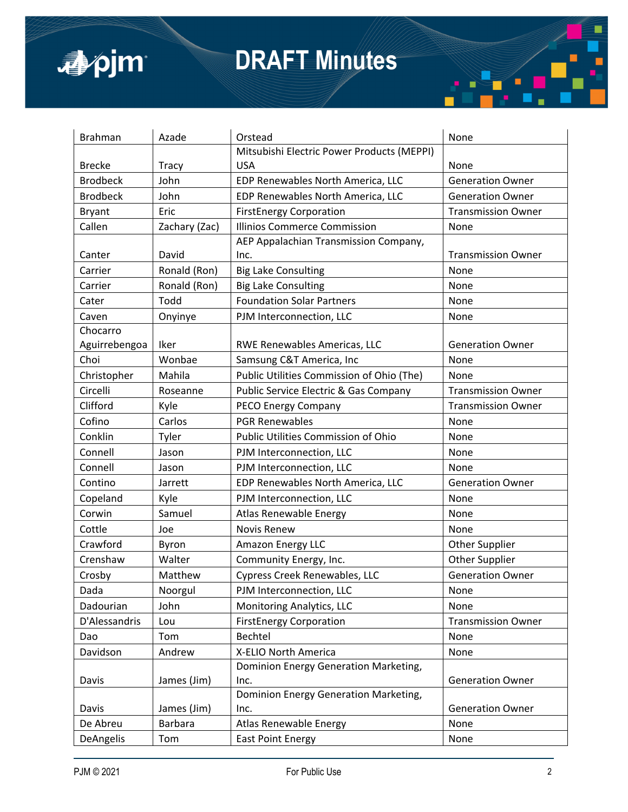



| <b>Brahman</b>  | Azade          | Orstead                                          | None                      |
|-----------------|----------------|--------------------------------------------------|---------------------------|
|                 |                | Mitsubishi Electric Power Products (MEPPI)       |                           |
| <b>Brecke</b>   | <b>Tracy</b>   | <b>USA</b>                                       | None                      |
| <b>Brodbeck</b> | John           | EDP Renewables North America, LLC                | <b>Generation Owner</b>   |
| <b>Brodbeck</b> | John           | EDP Renewables North America, LLC                | <b>Generation Owner</b>   |
| <b>Bryant</b>   | Eric           | <b>FirstEnergy Corporation</b>                   | <b>Transmission Owner</b> |
| Callen          | Zachary (Zac)  | <b>Illinios Commerce Commission</b>              | None                      |
|                 |                | AEP Appalachian Transmission Company,            |                           |
| Canter          | David          | Inc.                                             | <b>Transmission Owner</b> |
| Carrier         | Ronald (Ron)   | <b>Big Lake Consulting</b>                       | None                      |
| Carrier         | Ronald (Ron)   | <b>Big Lake Consulting</b>                       | None                      |
| Cater           | Todd           | <b>Foundation Solar Partners</b>                 | None                      |
| Caven           | Onyinye        | PJM Interconnection, LLC                         | None                      |
| Chocarro        |                |                                                  |                           |
| Aguirrebengoa   | Iker           | RWE Renewables Americas, LLC                     | <b>Generation Owner</b>   |
| Choi            | Wonbae         | Samsung C&T America, Inc                         | None                      |
| Christopher     | Mahila         | Public Utilities Commission of Ohio (The)        | None                      |
| Circelli        | Roseanne       | <b>Public Service Electric &amp; Gas Company</b> | <b>Transmission Owner</b> |
| Clifford        | Kyle           | PECO Energy Company                              | <b>Transmission Owner</b> |
| Cofino          | Carlos         | <b>PGR Renewables</b>                            | None                      |
| Conklin         | Tyler          | Public Utilities Commission of Ohio              | None                      |
| Connell         | Jason          | PJM Interconnection, LLC                         | None                      |
| Connell         | Jason          | PJM Interconnection, LLC                         | None                      |
| Contino         | Jarrett        | EDP Renewables North America, LLC                | <b>Generation Owner</b>   |
| Copeland        | Kyle           | PJM Interconnection, LLC                         | None                      |
| Corwin          | Samuel         | Atlas Renewable Energy                           | None                      |
| Cottle          | Joe            | <b>Novis Renew</b>                               | None                      |
| Crawford        | Byron          | Amazon Energy LLC                                | <b>Other Supplier</b>     |
| Crenshaw        | Walter         | Community Energy, Inc.                           | <b>Other Supplier</b>     |
| Crosby          | Matthew        | Cypress Creek Renewables, LLC                    | <b>Generation Owner</b>   |
| Dada            | Noorgul        | PJM Interconnection, LLC                         | None                      |
| Dadourian       | John           | Monitoring Analytics, LLC                        | None                      |
| D'Alessandris   | Lou            | <b>FirstEnergy Corporation</b>                   | <b>Transmission Owner</b> |
| Dao             | Tom            | Bechtel                                          | None                      |
| Davidson        | Andrew         | X-ELIO North America                             | None                      |
|                 |                | Dominion Energy Generation Marketing,            |                           |
| Davis           | James (Jim)    | Inc.                                             | <b>Generation Owner</b>   |
|                 |                | Dominion Energy Generation Marketing,            |                           |
| Davis           | James (Jim)    | Inc.                                             | <b>Generation Owner</b>   |
| De Abreu        | <b>Barbara</b> | Atlas Renewable Energy                           | None                      |
| DeAngelis       | Tom            | <b>East Point Energy</b>                         | None                      |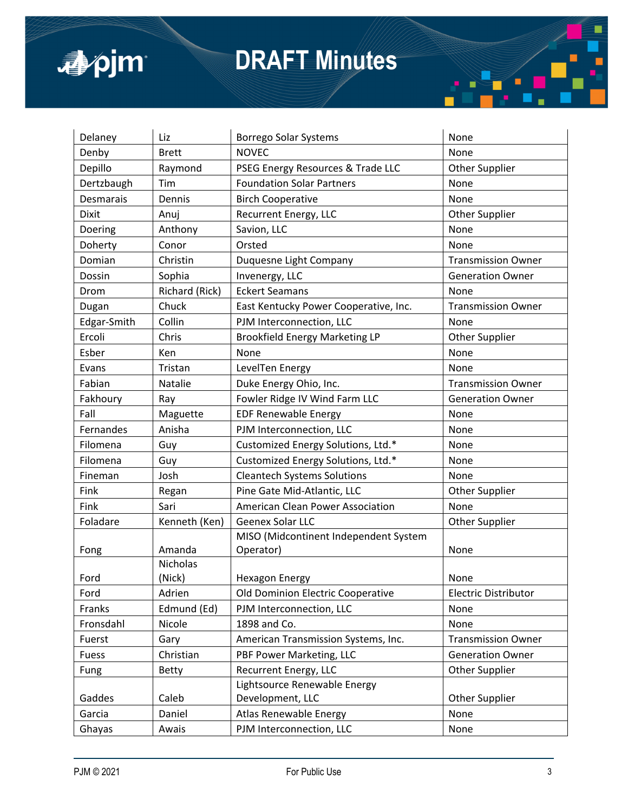

| Delaney      | Liz             | <b>Borrego Solar Systems</b>          | None                        |
|--------------|-----------------|---------------------------------------|-----------------------------|
| Denby        | <b>Brett</b>    | <b>NOVEC</b>                          | None                        |
| Depillo      | Raymond         | PSEG Energy Resources & Trade LLC     | Other Supplier              |
| Dertzbaugh   | Tim             | <b>Foundation Solar Partners</b>      | None                        |
| Desmarais    | Dennis          | <b>Birch Cooperative</b>              | None                        |
| <b>Dixit</b> | Anuj            | Recurrent Energy, LLC                 | Other Supplier              |
| Doering      | Anthony         | Savion, LLC                           | None                        |
| Doherty      | Conor           | Orsted                                | None                        |
| Domian       | Christin        | Duquesne Light Company                | <b>Transmission Owner</b>   |
| Dossin       | Sophia          | Invenergy, LLC                        | <b>Generation Owner</b>     |
| Drom         | Richard (Rick)  | <b>Eckert Seamans</b>                 | None                        |
| Dugan        | Chuck           | East Kentucky Power Cooperative, Inc. | <b>Transmission Owner</b>   |
| Edgar-Smith  | Collin          | PJM Interconnection, LLC              | None                        |
| Ercoli       | Chris           | <b>Brookfield Energy Marketing LP</b> | Other Supplier              |
| Esber        | Ken             | None                                  | None                        |
| Evans        | Tristan         | LevelTen Energy                       | None                        |
| Fabian       | Natalie         | Duke Energy Ohio, Inc.                | <b>Transmission Owner</b>   |
| Fakhoury     | Ray             | Fowler Ridge IV Wind Farm LLC         | <b>Generation Owner</b>     |
| Fall         | Maguette        | <b>EDF Renewable Energy</b>           | None                        |
| Fernandes    | Anisha          | PJM Interconnection, LLC              | None                        |
| Filomena     | Guy             | Customized Energy Solutions, Ltd.*    | None                        |
| Filomena     | Guy             | Customized Energy Solutions, Ltd.*    | None                        |
| Fineman      | Josh            | <b>Cleantech Systems Solutions</b>    | None                        |
| Fink         | Regan           | Pine Gate Mid-Atlantic, LLC           | Other Supplier              |
| Fink         | Sari            | American Clean Power Association      | None                        |
| Foladare     | Kenneth (Ken)   | Geenex Solar LLC                      | <b>Other Supplier</b>       |
|              |                 | MISO (Midcontinent Independent System |                             |
| Fong         | Amanda          | Operator)                             | None                        |
|              | <b>Nicholas</b> |                                       |                             |
| Ford         | (Nick)          | <b>Hexagon Energy</b>                 | None                        |
| Ford         | Adrien          | Old Dominion Electric Cooperative     | <b>Electric Distributor</b> |
| Franks       | Edmund (Ed)     | PJM Interconnection, LLC              | None                        |
| Fronsdahl    | Nicole          | 1898 and Co.                          | None                        |
| Fuerst       | Gary            | American Transmission Systems, Inc.   | <b>Transmission Owner</b>   |
| Fuess        | Christian       | PBF Power Marketing, LLC              | <b>Generation Owner</b>     |
| <b>Fung</b>  | <b>Betty</b>    | Recurrent Energy, LLC                 | <b>Other Supplier</b>       |
|              |                 | Lightsource Renewable Energy          |                             |
| Gaddes       | Caleb           | Development, LLC                      | Other Supplier              |
| Garcia       | Daniel          | Atlas Renewable Energy                | None                        |
| Ghayas       | Awais           | PJM Interconnection, LLC              | None                        |

П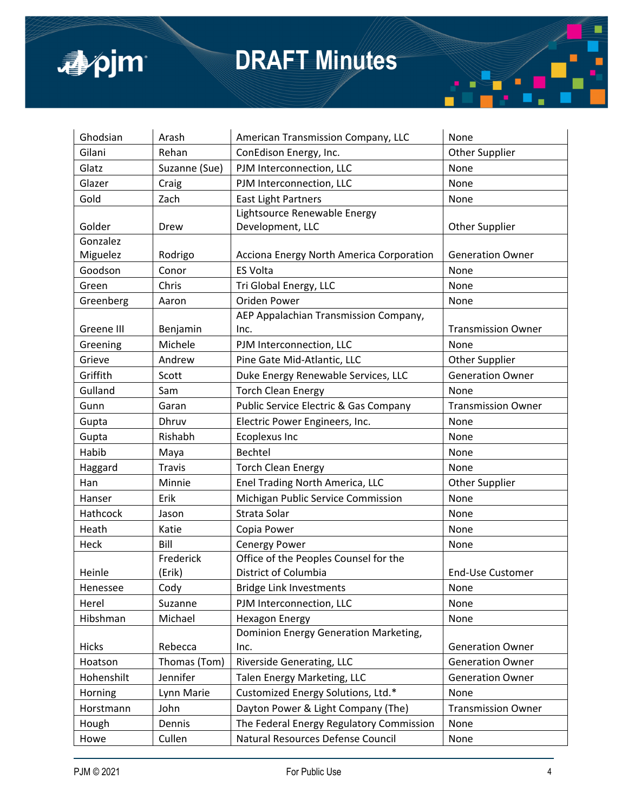

| Ghodsian   | Arash         | American Transmission Company, LLC               | None                      |
|------------|---------------|--------------------------------------------------|---------------------------|
| Gilani     | Rehan         | ConEdison Energy, Inc.                           | <b>Other Supplier</b>     |
| Glatz      | Suzanne (Sue) | PJM Interconnection, LLC                         | None                      |
| Glazer     | Craig         | PJM Interconnection, LLC                         | None                      |
| Gold       | Zach          | <b>East Light Partners</b>                       | None                      |
|            |               | Lightsource Renewable Energy                     |                           |
| Golder     | Drew          | Development, LLC                                 | <b>Other Supplier</b>     |
| Gonzalez   |               |                                                  |                           |
| Miguelez   | Rodrigo       | Acciona Energy North America Corporation         | <b>Generation Owner</b>   |
| Goodson    | Conor         | <b>ES Volta</b>                                  | None                      |
| Green      | Chris         | Tri Global Energy, LLC                           | None                      |
| Greenberg  | Aaron         | Oriden Power                                     | None                      |
|            |               | AEP Appalachian Transmission Company,            |                           |
| Greene III | Benjamin      | Inc.                                             | <b>Transmission Owner</b> |
| Greening   | Michele       | PJM Interconnection, LLC                         | None                      |
| Grieve     | Andrew        | Pine Gate Mid-Atlantic, LLC                      | Other Supplier            |
| Griffith   | Scott         | Duke Energy Renewable Services, LLC              | <b>Generation Owner</b>   |
| Gulland    | Sam           | <b>Torch Clean Energy</b>                        | None                      |
| Gunn       | Garan         | <b>Public Service Electric &amp; Gas Company</b> | <b>Transmission Owner</b> |
| Gupta      | Dhruv         | Electric Power Engineers, Inc.                   | None                      |
| Gupta      | Rishabh       | <b>Ecoplexus Inc</b>                             | None                      |
| Habib      | Maya          | Bechtel                                          | None                      |
| Haggard    | <b>Travis</b> | <b>Torch Clean Energy</b>                        | None                      |
| Han        | Minnie        | Enel Trading North America, LLC                  | <b>Other Supplier</b>     |
| Hanser     | Erik          | Michigan Public Service Commission               | None                      |
| Hathcock   | Jason         | Strata Solar                                     | None                      |
| Heath      | Katie         | Copia Power                                      | None                      |
| Heck       | Bill          | Cenergy Power                                    | None                      |
|            | Frederick     | Office of the Peoples Counsel for the            |                           |
| Heinle     | (Erik)        | District of Columbia                             | <b>End-Use Customer</b>   |
| Henessee   | Cody          | <b>Bridge Link Investments</b>                   | None                      |
| Herel      | Suzanne       | PJM Interconnection, LLC                         | None                      |
| Hibshman   | Michael       | <b>Hexagon Energy</b>                            | None                      |
|            |               | Dominion Energy Generation Marketing,            |                           |
| Hicks      | Rebecca       | Inc.                                             | <b>Generation Owner</b>   |
| Hoatson    | Thomas (Tom)  | Riverside Generating, LLC                        | <b>Generation Owner</b>   |
| Hohenshilt | Jennifer      | Talen Energy Marketing, LLC                      | <b>Generation Owner</b>   |
| Horning    | Lynn Marie    | Customized Energy Solutions, Ltd.*               | None                      |
| Horstmann  | John          | Dayton Power & Light Company (The)               | <b>Transmission Owner</b> |
| Hough      | Dennis        | The Federal Energy Regulatory Commission         | None                      |
| Howe       | Cullen        | Natural Resources Defense Council                | None                      |

п

ш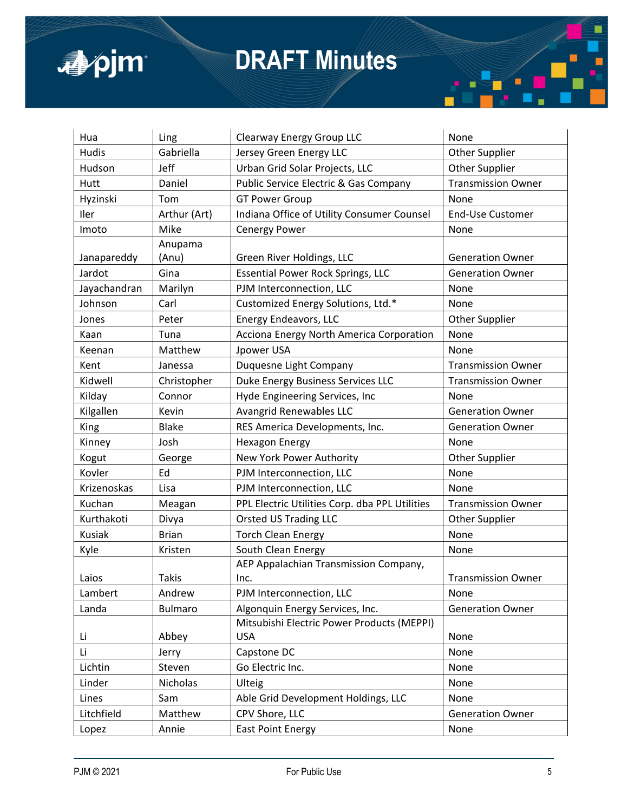

| Hua          | Ling           | Clearway Energy Group LLC                      | None                      |
|--------------|----------------|------------------------------------------------|---------------------------|
| Hudis        | Gabriella      | Jersey Green Energy LLC                        | <b>Other Supplier</b>     |
| Hudson       | Jeff           | Urban Grid Solar Projects, LLC                 | <b>Other Supplier</b>     |
| Hutt         | Daniel         | Public Service Electric & Gas Company          | <b>Transmission Owner</b> |
| Hyzinski     | Tom            | <b>GT Power Group</b>                          | None                      |
| Iler         | Arthur (Art)   | Indiana Office of Utility Consumer Counsel     | <b>End-Use Customer</b>   |
| Imoto        | Mike           | Cenergy Power                                  | None                      |
|              | Anupama        |                                                |                           |
| Janapareddy  | (Anu)          | Green River Holdings, LLC                      | <b>Generation Owner</b>   |
| Jardot       | Gina           | <b>Essential Power Rock Springs, LLC</b>       | <b>Generation Owner</b>   |
| Jayachandran | Marilyn        | PJM Interconnection, LLC                       | None                      |
| Johnson      | Carl           | Customized Energy Solutions, Ltd.*             | None                      |
| Jones        | Peter          | <b>Energy Endeavors, LLC</b>                   | <b>Other Supplier</b>     |
| Kaan         | Tuna           | Acciona Energy North America Corporation       | None                      |
| Keenan       | Matthew        | Jpower USA                                     | None                      |
| Kent         | Janessa        | Duquesne Light Company                         | <b>Transmission Owner</b> |
| Kidwell      | Christopher    | Duke Energy Business Services LLC              | <b>Transmission Owner</b> |
| Kilday       | Connor         | Hyde Engineering Services, Inc                 | None                      |
| Kilgallen    | Kevin          | Avangrid Renewables LLC                        | <b>Generation Owner</b>   |
| King         | <b>Blake</b>   | RES America Developments, Inc.                 | <b>Generation Owner</b>   |
| Kinney       | Josh           | <b>Hexagon Energy</b>                          | None                      |
| Kogut        | George         | New York Power Authority                       | Other Supplier            |
| Kovler       | Ed             | PJM Interconnection, LLC                       | None                      |
| Krizenoskas  | Lisa           | PJM Interconnection, LLC                       | None                      |
| Kuchan       | Meagan         | PPL Electric Utilities Corp. dba PPL Utilities | <b>Transmission Owner</b> |
| Kurthakoti   | Divya          | Orsted US Trading LLC                          | <b>Other Supplier</b>     |
| Kusiak       | <b>Brian</b>   | <b>Torch Clean Energy</b>                      | None                      |
| Kyle         | Kristen        | South Clean Energy                             | None                      |
|              |                | AEP Appalachian Transmission Company,          |                           |
| Laios        | <b>Takis</b>   | Inc.                                           | <b>Transmission Owner</b> |
| Lambert      | Andrew         | PJM Interconnection, LLC                       | None                      |
| Landa        | <b>Bulmaro</b> | Algonquin Energy Services, Inc.                | <b>Generation Owner</b>   |
|              |                | Mitsubishi Electric Power Products (MEPPI)     |                           |
| Li           | Abbey          | <b>USA</b>                                     | None                      |
| Li           | Jerry          | Capstone DC                                    | None                      |
| Lichtin      | Steven         | Go Electric Inc.                               | None                      |
| Linder       | Nicholas       | Ulteig                                         | None                      |
| Lines        | Sam            | Able Grid Development Holdings, LLC            | None                      |
| Litchfield   | Matthew        | CPV Shore, LLC                                 | <b>Generation Owner</b>   |
| Lopez        | Annie          | <b>East Point Energy</b>                       | None                      |

П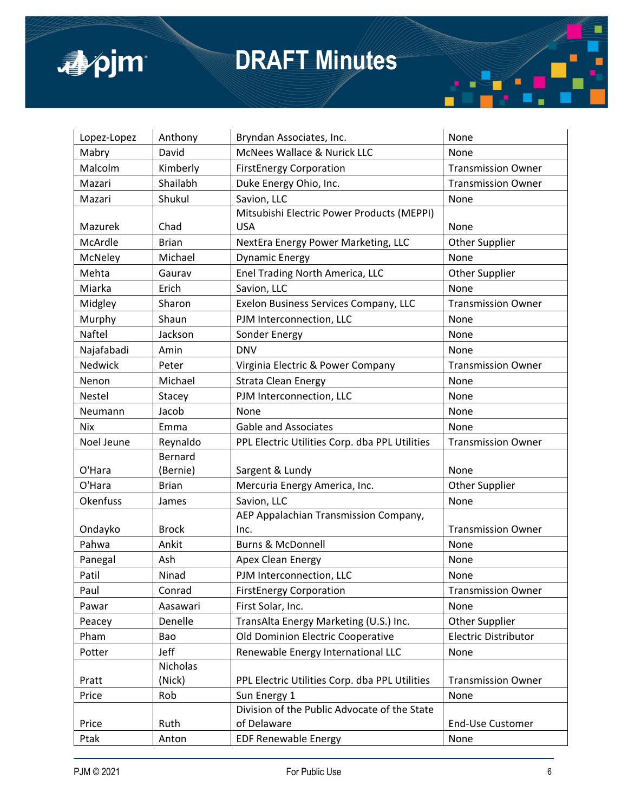

| Lopez-Lopez | Anthony        | Bryndan Associates, Inc.                       | None                        |
|-------------|----------------|------------------------------------------------|-----------------------------|
| Mabry       | David          | McNees Wallace & Nurick LLC                    | None                        |
| Malcolm     | Kimberly       | <b>FirstEnergy Corporation</b>                 | <b>Transmission Owner</b>   |
| Mazari      | Shailabh       | Duke Energy Ohio, Inc.                         | <b>Transmission Owner</b>   |
| Mazari      | Shukul         | Savion, LLC                                    | None                        |
|             |                | Mitsubishi Electric Power Products (MEPPI)     |                             |
| Mazurek     | Chad           | <b>USA</b>                                     | None                        |
| McArdle     | <b>Brian</b>   | NextEra Energy Power Marketing, LLC            | Other Supplier              |
| McNeley     | Michael        | <b>Dynamic Energy</b>                          | None                        |
| Mehta       | Gaurav         | Enel Trading North America, LLC                | Other Supplier              |
| Miarka      | Erich          | Savion, LLC                                    | None                        |
| Midgley     | Sharon         | Exelon Business Services Company, LLC          | <b>Transmission Owner</b>   |
| Murphy      | Shaun          | PJM Interconnection, LLC                       | None                        |
| Naftel      | Jackson        | Sonder Energy                                  | None                        |
| Najafabadi  | Amin           | <b>DNV</b>                                     | None                        |
| Nedwick     | Peter          | Virginia Electric & Power Company              | <b>Transmission Owner</b>   |
| Nenon       | Michael        | <b>Strata Clean Energy</b>                     | None                        |
| Nestel      | Stacey         | PJM Interconnection, LLC                       | None                        |
| Neumann     | Jacob          | <b>None</b>                                    | None                        |
| <b>Nix</b>  | Emma           | <b>Gable and Associates</b>                    | None                        |
| Noel Jeune  | Reynaldo       | PPL Electric Utilities Corp. dba PPL Utilities | <b>Transmission Owner</b>   |
|             | <b>Bernard</b> |                                                |                             |
| O'Hara      | (Bernie)       | Sargent & Lundy                                | None                        |
| O'Hara      | <b>Brian</b>   | Mercuria Energy America, Inc.                  | <b>Other Supplier</b>       |
| Okenfuss    | James          | Savion, LLC                                    | None                        |
|             |                | AEP Appalachian Transmission Company,          |                             |
| Ondayko     | <b>Brock</b>   | Inc.                                           | <b>Transmission Owner</b>   |
| Pahwa       | Ankit          | <b>Burns &amp; McDonnell</b>                   | None                        |
| Panegal     | Ash            | Apex Clean Energy                              | None                        |
| Patil       | Ninad          | PJM Interconnection, LLC                       | None                        |
| Paul        | Conrad         | <b>FirstEnergy Corporation</b>                 | <b>Transmission Owner</b>   |
| Pawar       | Aasawari       | First Solar, Inc.                              | None                        |
| Peacey      | Denelle        | TransAlta Energy Marketing (U.S.) Inc.         | Other Supplier              |
| Pham        | Bao            | Old Dominion Electric Cooperative              | <b>Electric Distributor</b> |
| Potter      | Jeff           | Renewable Energy International LLC             | None                        |
|             | Nicholas       |                                                |                             |
| Pratt       | (Nick)         | PPL Electric Utilities Corp. dba PPL Utilities | <b>Transmission Owner</b>   |
| Price       | Rob            | Sun Energy 1                                   | None                        |
|             |                | Division of the Public Advocate of the State   |                             |
| Price       |                | of Delaware                                    | <b>End-Use Customer</b>     |
| Ptak        | Ruth<br>Anton  | <b>EDF Renewable Energy</b>                    | None                        |

П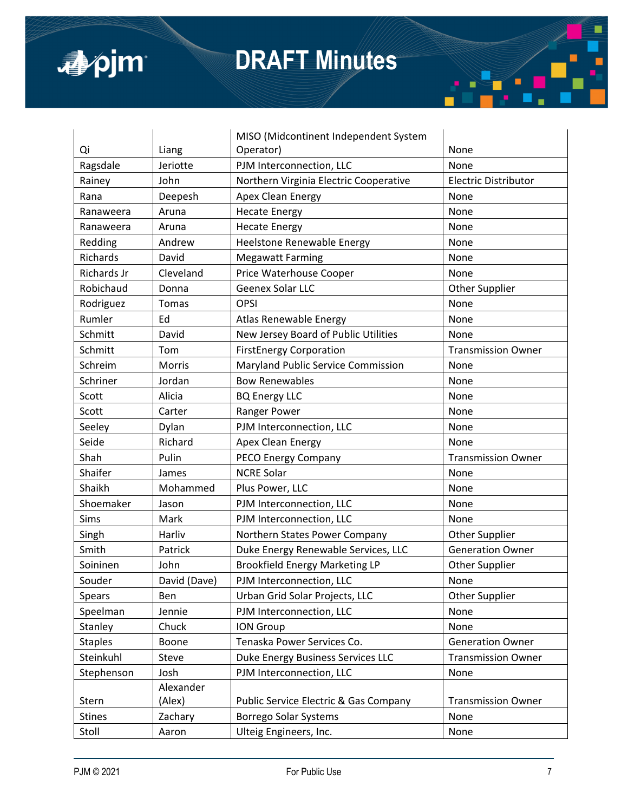



|                |               | MISO (Midcontinent Independent System            |                           |
|----------------|---------------|--------------------------------------------------|---------------------------|
| Qi             | Liang         | Operator)                                        | None                      |
| Ragsdale       | Jeriotte      | PJM Interconnection, LLC                         | None                      |
| Rainey         | John          | Northern Virginia Electric Cooperative           | Electric Distributor      |
| Rana           | Deepesh       | Apex Clean Energy                                | None                      |
| Ranaweera      | Aruna         | <b>Hecate Energy</b>                             | None                      |
| Ranaweera      | Aruna         | <b>Hecate Energy</b>                             | None                      |
| Redding        | Andrew        | Heelstone Renewable Energy                       | None                      |
| Richards       | David         | <b>Megawatt Farming</b>                          | None                      |
| Richards Jr    | Cleveland     | Price Waterhouse Cooper                          | None                      |
| Robichaud      | Donna         | Geenex Solar LLC                                 | <b>Other Supplier</b>     |
| Rodriguez      | Tomas         | <b>OPSI</b>                                      | None                      |
| Rumler         | Ed            | Atlas Renewable Energy                           | None                      |
| Schmitt        | David         | New Jersey Board of Public Utilities             | None                      |
| Schmitt        | Tom           | <b>FirstEnergy Corporation</b>                   | <b>Transmission Owner</b> |
| Schreim        | <b>Morris</b> | Maryland Public Service Commission               | None                      |
| Schriner       | Jordan        | <b>Bow Renewables</b>                            | None                      |
| Scott          | Alicia        | <b>BQ Energy LLC</b>                             | None                      |
| Scott          | Carter        | Ranger Power                                     | None                      |
| Seeley         | Dylan         | PJM Interconnection, LLC                         | None                      |
| Seide          | Richard       | Apex Clean Energy                                | None                      |
| Shah           | Pulin         | PECO Energy Company                              | <b>Transmission Owner</b> |
| Shaifer        | James         | <b>NCRE Solar</b>                                | None                      |
| Shaikh         | Mohammed      | Plus Power, LLC                                  | None                      |
| Shoemaker      | Jason         | PJM Interconnection, LLC                         | None                      |
| Sims           | Mark          | PJM Interconnection, LLC                         | None                      |
| Singh          | Harliv        | Northern States Power Company                    | <b>Other Supplier</b>     |
| Smith          | Patrick       | Duke Energy Renewable Services, LLC              | <b>Generation Owner</b>   |
| Soininen       | John          | <b>Brookfield Energy Marketing LP</b>            | Other Supplier            |
| Souder         | David (Dave)  | PJM Interconnection, LLC                         | None                      |
| <b>Spears</b>  | Ben           | Urban Grid Solar Projects, LLC                   | Other Supplier            |
| Speelman       | Jennie        | PJM Interconnection, LLC                         | None                      |
| Stanley        | Chuck         | <b>ION Group</b>                                 | None                      |
| <b>Staples</b> | Boone         | Tenaska Power Services Co.                       | <b>Generation Owner</b>   |
| Steinkuhl      | Steve         | Duke Energy Business Services LLC                | <b>Transmission Owner</b> |
| Stephenson     | Josh          | PJM Interconnection, LLC                         | None                      |
|                | Alexander     |                                                  |                           |
| Stern          | (Alex)        | <b>Public Service Electric &amp; Gas Company</b> | <b>Transmission Owner</b> |
| <b>Stines</b>  | Zachary       | <b>Borrego Solar Systems</b>                     | None                      |
| Stoll          | Aaron         | Ulteig Engineers, Inc.                           | None                      |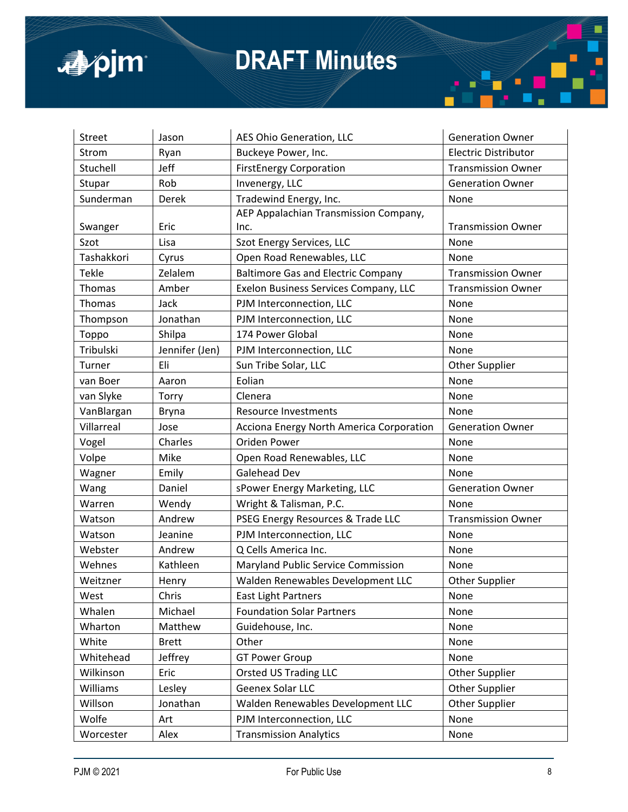

| <b>Street</b> | Jason          | AES Ohio Generation, LLC                  | <b>Generation Owner</b>     |
|---------------|----------------|-------------------------------------------|-----------------------------|
| Strom         | Ryan           | Buckeye Power, Inc.                       | <b>Electric Distributor</b> |
| Stuchell      | Jeff           | <b>FirstEnergy Corporation</b>            | <b>Transmission Owner</b>   |
| Stupar        | Rob            | Invenergy, LLC                            | <b>Generation Owner</b>     |
| Sunderman     | Derek          | Tradewind Energy, Inc.                    | None                        |
|               |                | AEP Appalachian Transmission Company,     |                             |
| Swanger       | Eric           | Inc.                                      | <b>Transmission Owner</b>   |
| Szot          | Lisa           | Szot Energy Services, LLC                 | None                        |
| Tashakkori    | Cyrus          | Open Road Renewables, LLC                 | None                        |
| Tekle         | Zelalem        | <b>Baltimore Gas and Electric Company</b> | <b>Transmission Owner</b>   |
| Thomas        | Amber          | Exelon Business Services Company, LLC     | <b>Transmission Owner</b>   |
| Thomas        | Jack           | PJM Interconnection, LLC                  | None                        |
| Thompson      | Jonathan       | PJM Interconnection, LLC                  | None                        |
| Toppo         | Shilpa         | 174 Power Global                          | None                        |
| Tribulski     | Jennifer (Jen) | PJM Interconnection, LLC                  | None                        |
| Turner        | Eli            | Sun Tribe Solar, LLC                      | Other Supplier              |
| van Boer      | Aaron          | Eolian                                    | None                        |
| van Slyke     | Torry          | Clenera                                   | None                        |
| VanBlargan    | Bryna          | <b>Resource Investments</b>               | None                        |
| Villarreal    | Jose           | Acciona Energy North America Corporation  | <b>Generation Owner</b>     |
| Vogel         | Charles        | Oriden Power                              | None                        |
| Volpe         | Mike           | Open Road Renewables, LLC                 | None                        |
| Wagner        | Emily          | <b>Galehead Dev</b>                       | None                        |
| Wang          | Daniel         | sPower Energy Marketing, LLC              | <b>Generation Owner</b>     |
| Warren        |                |                                           |                             |
|               | Wendy          | Wright & Talisman, P.C.                   | None                        |
| Watson        | Andrew         | PSEG Energy Resources & Trade LLC         | <b>Transmission Owner</b>   |
| Watson        | Jeanine        | PJM Interconnection, LLC                  | None                        |
| Webster       | Andrew         | Q Cells America Inc.                      | None                        |
| Wehnes        | Kathleen       | Maryland Public Service Commission        | None                        |
| Weitzner      | Henry          | Walden Renewables Development LLC         | <b>Other Supplier</b>       |
| West          | Chris          | <b>East Light Partners</b>                | None                        |
| Whalen        | Michael        | <b>Foundation Solar Partners</b>          | None                        |
| Wharton       | Matthew        | Guidehouse, Inc.                          | None                        |
| White         | <b>Brett</b>   | Other                                     | None                        |
| Whitehead     | Jeffrey        | <b>GT Power Group</b>                     | None                        |
| Wilkinson     | Eric           | <b>Orsted US Trading LLC</b>              | Other Supplier              |
| Williams      | Lesley         | Geenex Solar LLC                          | Other Supplier              |
| Willson       | Jonathan       | Walden Renewables Development LLC         | Other Supplier              |
| Wolfe         | Art            | PJM Interconnection, LLC                  | None                        |

П